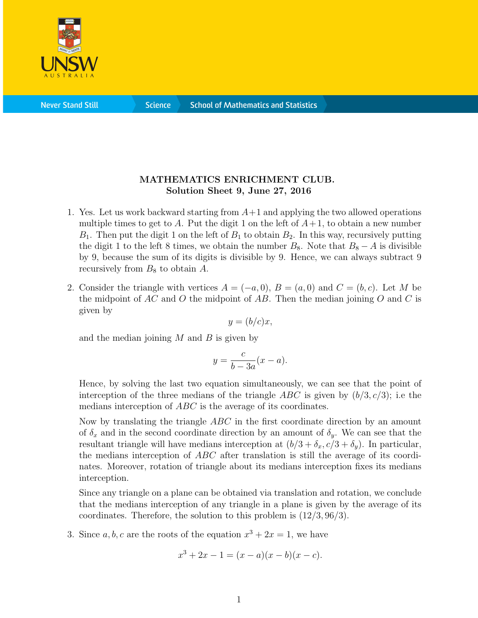

**Science** 

## MATHEMATICS ENRICHMENT CLUB. Solution Sheet 9, June 27, 2016

- 1. Yes. Let us work backward starting from  $A+1$  and applying the two allowed operations multiple times to get to A. Put the digit 1 on the left of  $A+1$ , to obtain a new number  $B_1$ . Then put the digit 1 on the left of  $B_1$  to obtain  $B_2$ . In this way, recursively putting the digit 1 to the left 8 times, we obtain the number  $B_8$ . Note that  $B_8 - A$  is divisible by 9, because the sum of its digits is divisible by 9. Hence, we can always subtract 9 recursively from  $B_8$  to obtain A.
- 2. Consider the triangle with vertices  $A = (-a, 0), B = (a, 0)$  and  $C = (b, c)$ . Let M be the midpoint of  $AC$  and O the midpoint of  $AB$ . Then the median joining O and C is given by

$$
y = (b/c)x,
$$

and the median joining  $M$  and  $B$  is given by

$$
y = \frac{c}{b - 3a}(x - a).
$$

Hence, by solving the last two equation simultaneously, we can see that the point of interception of the three medians of the triangle ABC is given by  $(b/3, c/3)$ ; i.e the medians interception of ABC is the average of its coordinates.

Now by translating the triangle ABC in the first coordinate direction by an amount of  $\delta_x$  and in the second coordinate direction by an amount of  $\delta_y$ . We can see that the resultant triangle will have medians interception at  $(b/3 + \delta_x, c/3 + \delta_y)$ . In particular, the medians interception of ABC after translation is still the average of its coordinates. Moreover, rotation of triangle about its medians interception fixes its medians interception.

Since any triangle on a plane can be obtained via translation and rotation, we conclude that the medians interception of any triangle in a plane is given by the average of its coordinates. Therefore, the solution to this problem is (12/3, 96/3).

3. Since  $a, b, c$  are the roots of the equation  $x^3 + 2x = 1$ , we have

$$
x^3 + 2x - 1 = (x - a)(x - b)(x - c).
$$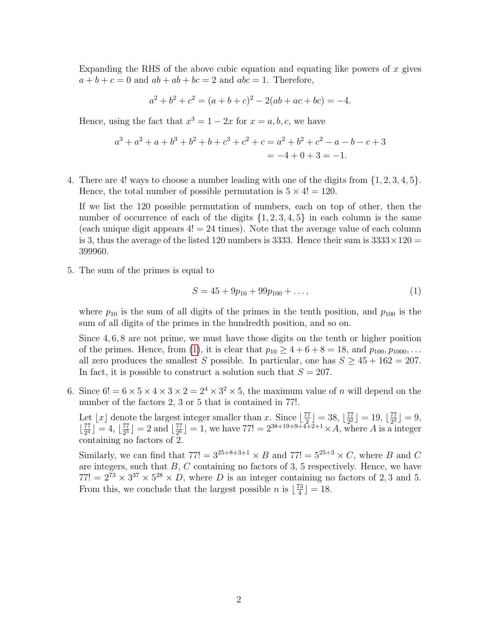Expanding the RHS of the above cubic equation and equating like powers of  $x$  gives  $a + b + c = 0$  and  $ab + ab + bc = 2$  and  $abc = 1$ . Therefore,

$$
a2 + b2 + c2 = (a + b + c)2 - 2(ab + ac + bc) = -4.
$$

Hence, using the fact that  $x^3 = 1 - 2x$  for  $x = a, b, c$ , we have

$$
a^3 + a^2 + a + b^3 + b^2 + b + c^3 + c^2 + c = a^2 + b^2 + c^2 - a - b - c + 3
$$
  
= -4 + 0 + 3 = -1.

4. There are 4! ways to choose a number leading with one of the digits from {1, 2, 3, 4, 5}. Hence, the total number of possible permutation is  $5 \times 4! = 120$ .

If we list the 120 possible permutation of numbers, each on top of other, then the number of occurrence of each of the digits  $\{1, 2, 3, 4, 5\}$  in each column is the same (each unique digit appears  $4! = 24$  times). Note that the average value of each column is 3, thus the average of the listed 120 numbers is 3333. Hence their sum is  $3333 \times 120 =$ 399960.

5. The sum of the primes is equal to

<span id="page-1-0"></span>
$$
S = 45 + 9p_{10} + 99p_{100} + \dots,\tag{1}
$$

where  $p_{10}$  is the sum of all digits of the primes in the tenth position, and  $p_{100}$  is the sum of all digits of the primes in the hundredth position, and so on.

Since 4, 6, 8 are not prime, we must have those digits on the tenth or higher position of the primes. Hence, from [\(1\)](#page-1-0), it is clear that  $p_{10} \ge 4 + 6 + 8 = 18$ , and  $p_{100}, p_{1000}, \ldots$ all zero produces the smallest S possible. In particular, one has  $S \geq 45 + 162 = 207$ . In fact, it is possible to construct a solution such that  $S = 207$ .

6. Since  $6! = 6 \times 5 \times 4 \times 3 \times 2 = 2^4 \times 3^2 \times 5$ , the maximum value of *n* will depend on the number of the factors 2, 3 or 5 that is contained in 77!.

Let |x| denote the largest integer smaller than x. Since  $\frac{77}{2}$  $\left[\frac{77}{2}\right] = 38, \left[\frac{77}{2^2}\right]$  $\frac{77}{2^2}$ ] = 19,  $\lfloor \frac{77}{2^3} \rfloor$  $\frac{77}{2^3}$  = 9,  $\frac{77}{24}$  $\frac{77}{2^4}$ ] = 4,  $\frac{77}{2^5}$  $\frac{77}{2^5}$  = 2 and  $\lfloor \frac{77}{2^6} \rfloor$  $\frac{77}{2^6}$  = 1, we have  $77! = 2^{38+19+9+4+2+1} \times A$ , where A is a integer containing no factors of 2.

Similarly, we can find that  $77! = 3^{25+8+3+1} \times B$  and  $77! = 5^{25+3} \times C$ , where B and C are integers, such that  $B, C$  containing no factors of 3, 5 respectively. Hence, we have  $77! = 2^{73} \times 3^{37} \times 5^{28} \times D$ , where D is an integer containing no factors of 2,3 and 5. From this, we conclude that the largest possible *n* is  $\lfloor \frac{73}{4} \rfloor$  $\frac{73}{4}$ ] = 18.